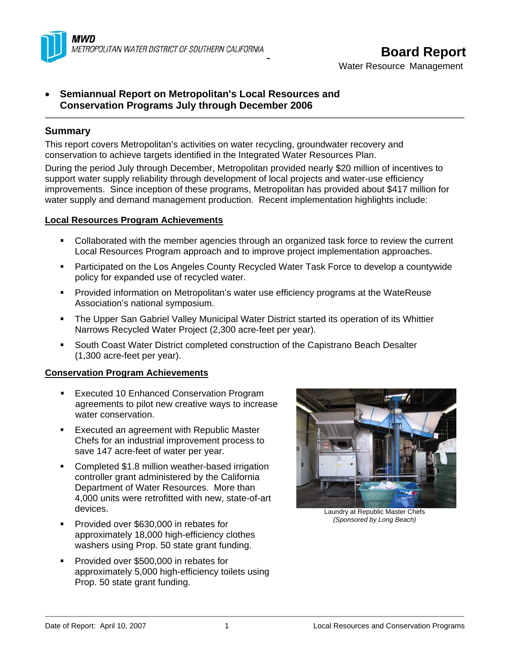

# **Board Report**

Water Resource Management

# • **Semiannual Report on Metropolitan's Local Resources and Conservation Programs July through December 2006**

# **Summary**

This report covers Metropolitan's activities on water recycling, groundwater recovery and conservation to achieve targets identified in the Integrated Water Resources Plan.

During the period July through December, Metropolitan provided nearly \$20 million of incentives to support water supply reliability through development of local projects and water-use efficiency improvements. Since inception of these programs, Metropolitan has provided about \$417 million for water supply and demand management production. Recent implementation highlights include:

# **Local Resources Program Achievements**

- Collaborated with the member agencies through an organized task force to review the current Local Resources Program approach and to improve project implementation approaches.
- Participated on the Los Angeles County Recycled Water Task Force to develop a countywide policy for expanded use of recycled water.
- **Provided information on Metropolitan's water use efficiency programs at the WateReuse** Association's national symposium.
- The Upper San Gabriel Valley Municipal Water District started its operation of its Whittier Narrows Recycled Water Project (2,300 acre-feet per year).
- South Coast Water District completed construction of the Capistrano Beach Desalter (1,300 acre-feet per year).

# **Conservation Program Achievements**

- **Executed 10 Enhanced Conservation Program** agreements to pilot new creative ways to increase water conservation.
- Executed an agreement with Republic Master Chefs for an industrial improvement process to save 147 acre-feet of water per year.
- **Completed \$1.8 million weather-based irrigation** controller grant administered by the California Department of Water Resources. More than 4,000 units were retrofitted with new, state-of-art devices.
- **Provided over \$630,000 in rebates for** approximately 18,000 high-efficiency clothes washers using Prop. 50 state grant funding.
- Provided over \$500,000 in rebates for approximately 5,000 high-efficiency toilets using Prop. 50 state grant funding.



Laundry at Republic Master Chefs *(Sponsored by Long Beach)*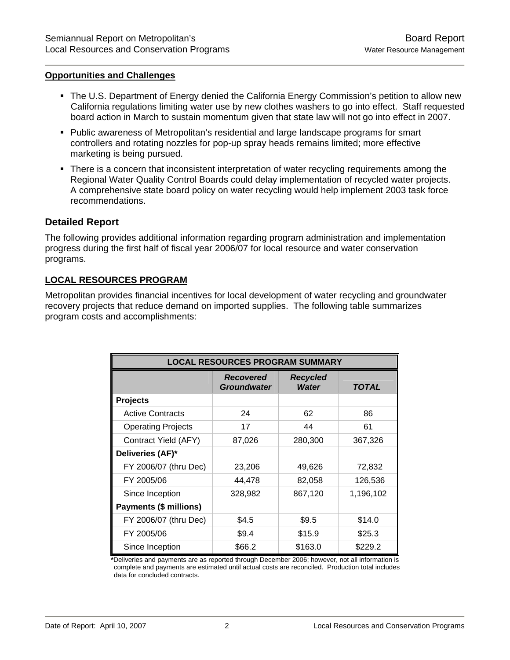#### **Opportunities and Challenges**

- The U.S. Department of Energy denied the California Energy Commission's petition to allow new California regulations limiting water use by new clothes washers to go into effect. Staff requested board action in March to sustain momentum given that state law will not go into effect in 2007.
- Public awareness of Metropolitan's residential and large landscape programs for smart controllers and rotating nozzles for pop-up spray heads remains limited; more effective marketing is being pursued.
- There is a concern that inconsistent interpretation of water recycling requirements among the Regional Water Quality Control Boards could delay implementation of recycled water projects. A comprehensive state board policy on water recycling would help implement 2003 task force recommendations.

#### **Detailed Report**

The following provides additional information regarding program administration and implementation progress during the first half of fiscal year 2006/07 for local resource and water conservation programs.

#### **LOCAL RESOURCES PROGRAM**

Metropolitan provides financial incentives for local development of water recycling and groundwater recovery projects that reduce demand on imported supplies. The following table summarizes program costs and accomplishments:

| <b>LOCAL RESOURCES PROGRAM SUMMARY</b> |                                        |                                 |              |  |  |  |
|----------------------------------------|----------------------------------------|---------------------------------|--------------|--|--|--|
|                                        | <b>Recovered</b><br><b>Groundwater</b> | <b>Recycled</b><br><b>Water</b> | <b>TOTAL</b> |  |  |  |
| <b>Projects</b>                        |                                        |                                 |              |  |  |  |
| <b>Active Contracts</b>                | 24                                     | 62                              | 86           |  |  |  |
| <b>Operating Projects</b>              | 17                                     | 44                              | 61           |  |  |  |
| Contract Yield (AFY)                   | 87,026                                 | 280,300                         | 367,326      |  |  |  |
| Deliveries (AF)*                       |                                        |                                 |              |  |  |  |
| FY 2006/07 (thru Dec)                  | 23,206                                 | 49,626                          | 72,832       |  |  |  |
| FY 2005/06                             | 44,478                                 | 82,058                          | 126,536      |  |  |  |
| Since Inception                        | 328,982                                | 867,120                         | 1,196,102    |  |  |  |
| <b>Payments (\$ millions)</b>          |                                        |                                 |              |  |  |  |
| FY 2006/07 (thru Dec)                  | \$4.5                                  | \$9.5                           | \$14.0       |  |  |  |
| FY 2005/06                             | \$9.4                                  | \$15.9                          | \$25.3       |  |  |  |
| Since Inception                        | \$66.2                                 | \$163.0                         | \$229.2      |  |  |  |

**\***Deliveries and payments are as reported through December 2006; however, not all information is complete and payments are estimated until actual costs are reconciled. Production total includes data for concluded contracts.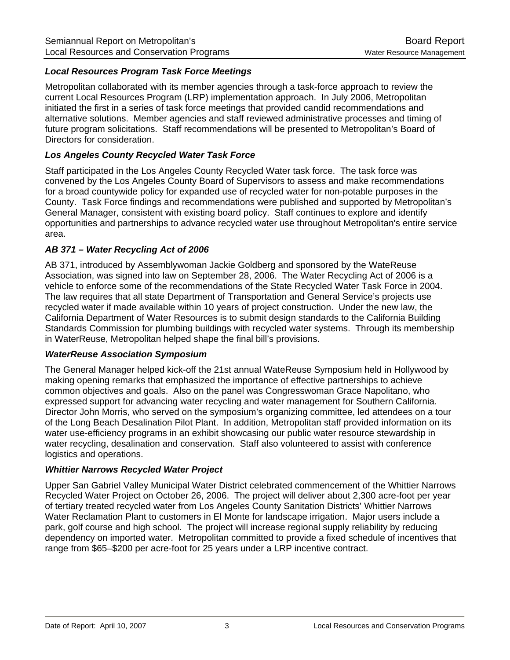# *Local Resources Program Task Force Meetings*

Metropolitan collaborated with its member agencies through a task-force approach to review the current Local Resources Program (LRP) implementation approach. In July 2006, Metropolitan initiated the first in a series of task force meetings that provided candid recommendations and alternative solutions. Member agencies and staff reviewed administrative processes and timing of future program solicitations. Staff recommendations will be presented to Metropolitan's Board of Directors for consideration.

#### *Los Angeles County Recycled Water Task Force*

Staff participated in the Los Angeles County Recycled Water task force. The task force was convened by the Los Angeles County Board of Supervisors to assess and make recommendations for a broad countywide policy for expanded use of recycled water for non-potable purposes in the County. Task Force findings and recommendations were published and supported by Metropolitan's General Manager, consistent with existing board policy. Staff continues to explore and identify opportunities and partnerships to advance recycled water use throughout Metropolitan's entire service area.

#### *AB 371 – Water Recycling Act of 2006*

AB 371, introduced by Assemblywoman Jackie Goldberg and sponsored by the WateReuse Association, was signed into law on September 28, 2006. The Water Recycling Act of 2006 is a vehicle to enforce some of the recommendations of the State Recycled Water Task Force in 2004. The law requires that all state Department of Transportation and General Service's projects use recycled water if made available within 10 years of project construction. Under the new law, the California Department of Water Resources is to submit design standards to the California Building Standards Commission for plumbing buildings with recycled water systems. Through its membership in WaterReuse, Metropolitan helped shape the final bill's provisions.

#### *WaterReuse Association Symposium*

The General Manager helped kick-off the 21st annual WateReuse Symposium held in Hollywood by making opening remarks that emphasized the importance of effective partnerships to achieve common objectives and goals. Also on the panel was Congresswoman Grace Napolitano, who expressed support for advancing water recycling and water management for Southern California. Director John Morris, who served on the symposium's organizing committee, led attendees on a tour of the Long Beach Desalination Pilot Plant. In addition, Metropolitan staff provided information on its water use-efficiency programs in an exhibit showcasing our public water resource stewardship in water recycling, desalination and conservation. Staff also volunteered to assist with conference logistics and operations.

#### *Whittier Narrows Recycled Water Project*

Upper San Gabriel Valley Municipal Water District celebrated commencement of the Whittier Narrows Recycled Water Project on October 26, 2006. The project will deliver about 2,300 acre-foot per year of tertiary treated recycled water from Los Angeles County Sanitation Districts' Whittier Narrows Water Reclamation Plant to customers in El Monte for landscape irrigation. Major users include a park, golf course and high school. The project will increase regional supply reliability by reducing dependency on imported water. Metropolitan committed to provide a fixed schedule of incentives that range from \$65–\$200 per acre-foot for 25 years under a LRP incentive contract.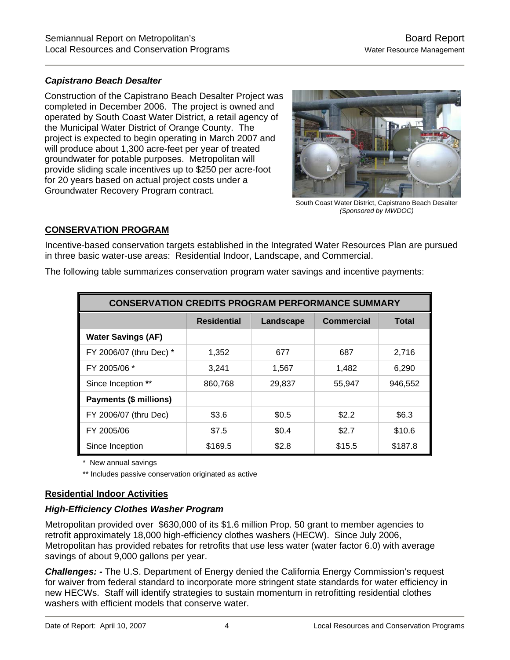# *Capistrano Beach Desalter*

Construction of the Capistrano Beach Desalter Project was completed in December 2006. The project is owned and operated by South Coast Water District, a retail agency of the Municipal Water District of Orange County. The project is expected to begin operating in March 2007 and will produce about 1,300 acre-feet per year of treated groundwater for potable purposes. Metropolitan will provide sliding scale incentives up to \$250 per acre-foot for 20 years based on actual project costs under a Groundwater Recovery Program contract.



South Coast Water District, Capistrano Beach Desalter *(Sponsored by MWDOC)*

# **CONSERVATION PROGRAM**

Incentive-based conservation targets established in the Integrated Water Resources Plan are pursued in three basic water-use areas: Residential Indoor, Landscape, and Commercial.

The following table summarizes conservation program water savings and incentive payments:

| <b>CONSERVATION CREDITS PROGRAM PERFORMANCE SUMMARY</b> |                    |           |                   |              |  |  |
|---------------------------------------------------------|--------------------|-----------|-------------------|--------------|--|--|
|                                                         | <b>Residential</b> | Landscape | <b>Commercial</b> | <b>Total</b> |  |  |
| <b>Water Savings (AF)</b>                               |                    |           |                   |              |  |  |
| FY 2006/07 (thru Dec) *                                 | 1,352              | 677       | 687               | 2,716        |  |  |
| FY 2005/06 *                                            | 3,241              | 1,567     | 1,482             | 6,290        |  |  |
| Since Inception **                                      | 860,768            | 29.837    | 55,947            | 946,552      |  |  |
| Payments (\$ millions)                                  |                    |           |                   |              |  |  |
| FY 2006/07 (thru Dec)                                   | \$3.6              | \$0.5     | \$2.2             | \$6.3        |  |  |
| FY 2005/06                                              | \$7.5              | \$0.4     | \$2.7             | \$10.6       |  |  |
| Since Inception                                         | \$169.5            | \$2.8     | \$15.5            | \$187.8      |  |  |

New annual savings

\*\* Includes passive conservation originated as active

#### **Residential Indoor Activities**

#### *High-Efficiency Clothes Washer Program*

Metropolitan provided over \$630,000 of its \$1.6 million Prop. 50 grant to member agencies to retrofit approximately 18,000 high-efficiency clothes washers (HECW). Since July 2006, Metropolitan has provided rebates for retrofits that use less water (water factor 6.0) with average savings of about 9,000 gallons per year.

*Challenges: -* The U.S. Department of Energy denied the California Energy Commission's request for waiver from federal standard to incorporate more stringent state standards for water efficiency in new HECWs. Staff will identify strategies to sustain momentum in retrofitting residential clothes washers with efficient models that conserve water.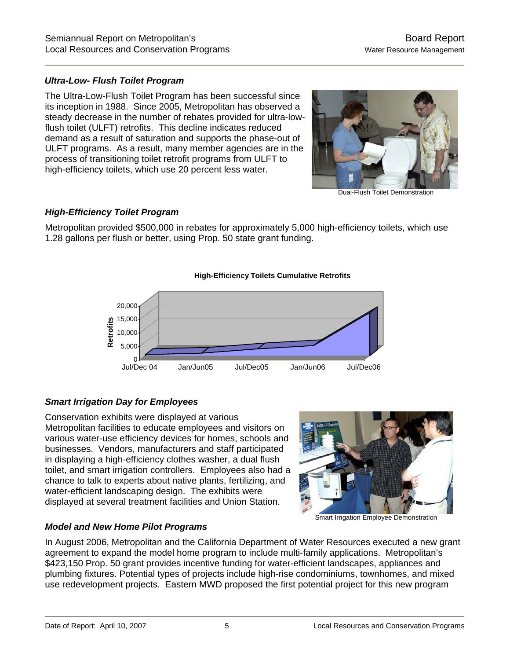# *Ultra-Low- Flush Toilet Program*

The Ultra-Low-Flush Toilet Program has been successful since its inception in 1988. Since 2005, Metropolitan has observed a steady decrease in the number of rebates provided for ultra-lowflush toilet (ULFT) retrofits. This decline indicates reduced demand as a result of saturation and supports the phase-out of ULFT programs. As a result, many member agencies are in the process of transitioning toilet retrofit programs from ULFT to high-efficiency toilets, which use 20 percent less water.



Dual-Flush Toilet Demonstration

# *High-Efficiency Toilet Program*

Metropolitan provided \$500,000 in rebates for approximately 5,000 high-efficiency toilets, which use 1.28 gallons per flush or better, using Prop. 50 state grant funding.

#### **High-Efficiency Toilets Cumulative Retrofits**



# *Smart Irrigation Day for Employees*

Conservation exhibits were displayed at various Metropolitan facilities to educate employees and visitors on various water-use efficiency devices for homes, schools and businesses. Vendors, manufacturers and staff participated in displaying a high-efficiency clothes washer, a dual flush toilet, and smart irrigation controllers. Employees also had a chance to talk to experts about native plants, fertilizing, and water-efficient landscaping design. The exhibits were displayed at several treatment facilities and Union Station.

Smart Irrigation Employee Demonstration

# *Model and New Home Pilot Programs*

In August 2006, Metropolitan and the California Department of Water Resources executed a new grant agreement to expand the model home program to include multi-family applications. Metropolitan's \$423,150 Prop. 50 grant provides incentive funding for water-efficient landscapes, appliances and plumbing fixtures. Potential types of projects include high-rise condominiums, townhomes, and mixed use redevelopment projects. Eastern MWD proposed the first potential project for this new program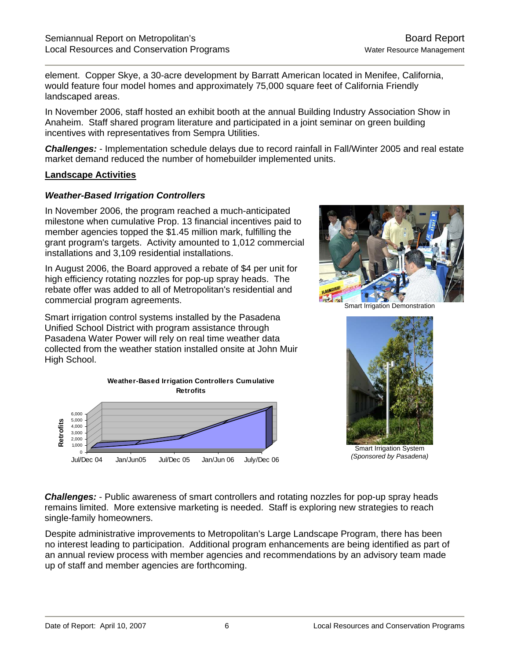element. Copper Skye, a 30-acre development by Barratt American located in Menifee, California, would feature four model homes and approximately 75,000 square feet of California Friendly landscaped areas.

In November 2006, staff hosted an exhibit booth at the annual Building Industry Association Show in Anaheim. Staff shared program literature and participated in a joint seminar on green building incentives with representatives from Sempra Utilities.

*Challenges:* - Implementation schedule delays due to record rainfall in Fall/Winter 2005 and real estate market demand reduced the number of homebuilder implemented units.

#### **Landscape Activities**

#### *Weather-Based Irrigation Controllers*

In November 2006, the program reached a much-anticipated milestone when cumulative Prop. 13 financial incentives paid to member agencies topped the \$1.45 million mark, fulfilling the grant program's targets. Activity amounted to 1,012 commercial installations and 3,109 residential installations.

In August 2006, the Board approved a rebate of \$4 per unit for high efficiency rotating nozzles for pop-up spray heads. The rebate offer was added to all of Metropolitan's residential and commercial program agreements.

Smart irrigation control systems installed by the Pasadena Unified School District with program assistance through Pasadena Water Power will rely on real time weather data collected from the weather station installed onsite at John Muir High School.





Smart Irrigation Demonstration



Smart Irrigation System *(Sponsored by Pasadena)*

*Challenges:* - Public awareness of smart controllers and rotating nozzles for pop-up spray heads remains limited. More extensive marketing is needed. Staff is exploring new strategies to reach single-family homeowners.

Despite administrative improvements to Metropolitan's Large Landscape Program, there has been no interest leading to participation. Additional program enhancements are being identified as part of an annual review process with member agencies and recommendations by an advisory team made up of staff and member agencies are forthcoming.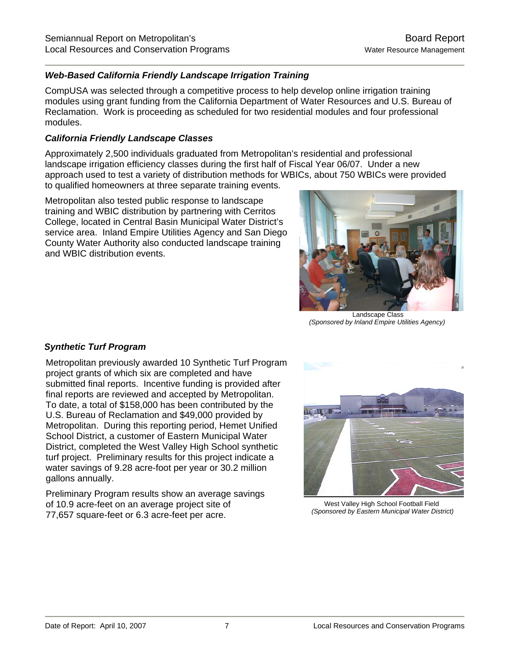# *Web-Based California Friendly Landscape Irrigation Training*

CompUSA was selected through a competitive process to help develop online irrigation training modules using grant funding from the California Department of Water Resources and U.S. Bureau of Reclamation. Work is proceeding as scheduled for two residential modules and four professional modules.

#### *California Friendly Landscape Classes*

Approximately 2,500 individuals graduated from Metropolitan's residential and professional landscape irrigation efficiency classes during the first half of Fiscal Year 06/07. Under a new approach used to test a variety of distribution methods for WBICs, about 750 WBICs were provided to qualified homeowners at three separate training events.

Metropolitan also tested public response to landscape training and WBIC distribution by partnering with Cerritos College, located in Central Basin Municipal Water District's service area. Inland Empire Utilities Agency and San Diego County Water Authority also conducted landscape training and WBIC distribution events.



 Landscape Class *(Sponsored by Inland Empire Utilities Agency)*

#### *Synthetic Turf Program*

Metropolitan previously awarded 10 Synthetic Turf Program project grants of which six are completed and have submitted final reports. Incentive funding is provided after final reports are reviewed and accepted by Metropolitan. To date, a total of \$158,000 has been contributed by the U.S. Bureau of Reclamation and \$49,000 provided by Metropolitan. During this reporting period, Hemet Unified School District, a customer of Eastern Municipal Water District, completed the West Valley High School synthetic turf project. Preliminary results for this project indicate a water savings of 9.28 acre-foot per year or 30.2 million gallons annually.

Preliminary Program results show an average savings of 10.9 acre-feet on an average project site of 77,657 square-feet or 6.3 acre-feet per acre.



West Valley High School Football Field  *(Sponsored by Eastern Municipal Water District)*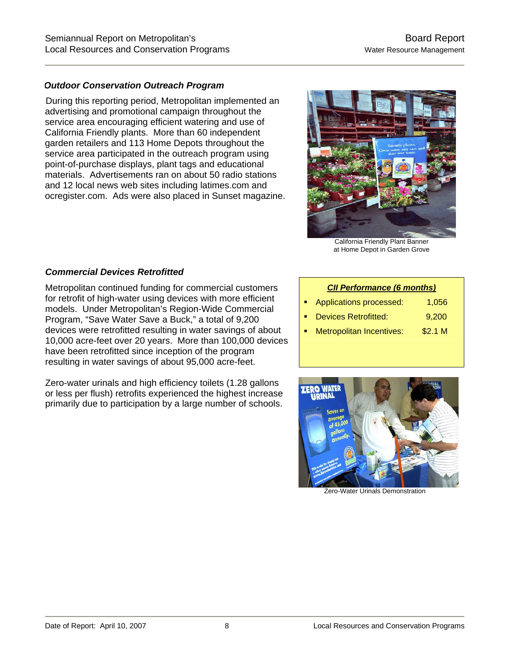#### *Outdoor Conservation Outreach Program*

During this reporting period, Metropolitan implemented an advertising and promotional campaign throughout the service area encouraging efficient watering and use of California Friendly plants. More than 60 independent garden retailers and 113 Home Depots throughout the service area participated in the outreach program using point-of-purchase displays, plant tags and educational materials. Advertisements ran on about 50 radio stations and 12 local news web sites including latimes.com and ocregister.com. Ads were also placed in Sunset magazine.



California Friendly Plant Banner at Home Depot in Garden Grove

# *Commercial Devices Retrofitted*

Metropolitan continued funding for commercial customers for retrofit of high-water using devices with more efficient models. Under Metropolitan's Region-Wide Commercial Program, "Save Water Save a Buck," a total of 9,200 devices were retrofitted resulting in water savings of about 10,000 acre-feet over 20 years. More than 100,000 devices have been retrofitted since inception of the program resulting in water savings of about 95,000 acre-feet.

Zero-water urinals and high efficiency toilets (1.28 gallons or less per flush) retrofits experienced the highest increase primarily due to participation by a large number of schools.

#### *CII Performance (6 months)*

- Applications processed: 1,056
- Devices Retrofitted: 9,200
- Metropolitan Incentives: \$2.1 M



Zero-Water Urinals Demonstration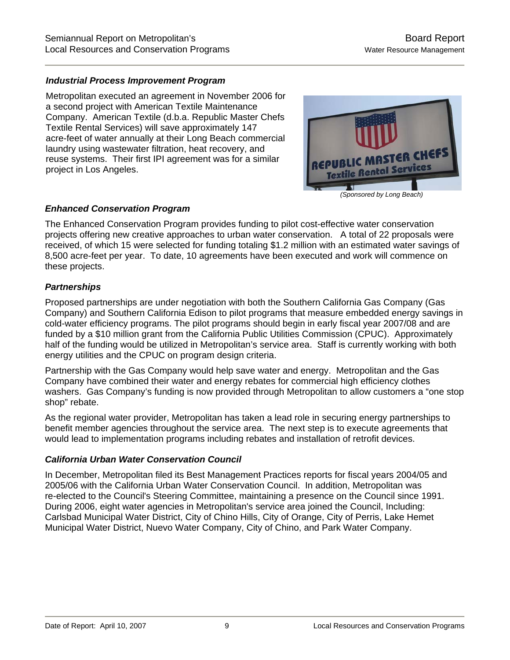# *Industrial Process Improvement Program*

Metropolitan executed an agreement in November 2006 for a second project with American Textile Maintenance Company. American Textile (d.b.a. Republic Master Chefs Textile Rental Services) will save approximately 147 acre-feet of water annually at their Long Beach commercial laundry using wastewater filtration, heat recovery, and reuse systems. Their first IPI agreement was for a similar project in Los Angeles.



# *Enhanced Conservation Program*

The Enhanced Conservation Program provides funding to pilot cost-effective water conservation projects offering new creative approaches to urban water conservation. A total of 22 proposals were received, of which 15 were selected for funding totaling \$1.2 million with an estimated water savings of 8,500 acre-feet per year. To date, 10 agreements have been executed and work will commence on these projects.

# *Partnerships*

Proposed partnerships are under negotiation with both the Southern California Gas Company (Gas Company) and Southern California Edison to pilot programs that measure embedded energy savings in cold-water efficiency programs. The pilot programs should begin in early fiscal year 2007/08 and are funded by a \$10 million grant from the California Public Utilities Commission (CPUC). Approximately half of the funding would be utilized in Metropolitan's service area. Staff is currently working with both energy utilities and the CPUC on program design criteria.

Partnership with the Gas Company would help save water and energy. Metropolitan and the Gas Company have combined their water and energy rebates for commercial high efficiency clothes washers. Gas Company's funding is now provided through Metropolitan to allow customers a "one stop shop" rebate.

As the regional water provider, Metropolitan has taken a lead role in securing energy partnerships to benefit member agencies throughout the service area. The next step is to execute agreements that would lead to implementation programs including rebates and installation of retrofit devices.

#### *California Urban Water Conservation Council*

In December, Metropolitan filed its Best Management Practices reports for fiscal years 2004/05 and 2005/06 with the California Urban Water Conservation Council. In addition, Metropolitan was re-elected to the Council's Steering Committee, maintaining a presence on the Council since 1991. During 2006, eight water agencies in Metropolitan's service area joined the Council, Including: Carlsbad Municipal Water District, City of Chino Hills, City of Orange, City of Perris, Lake Hemet Municipal Water District, Nuevo Water Company, City of Chino, and Park Water Company.